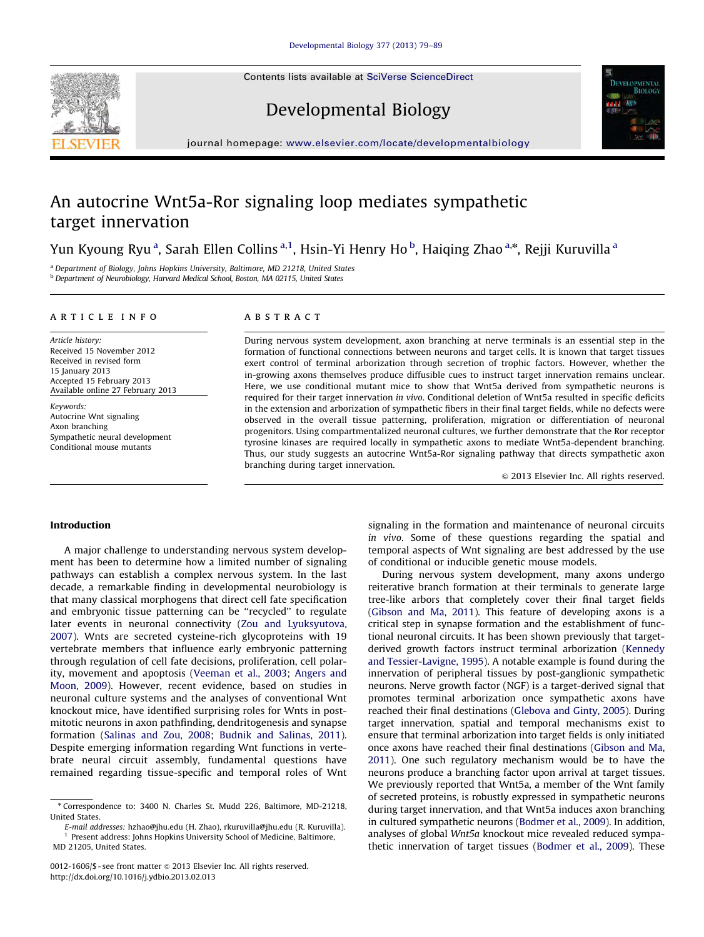Contents lists available at [SciVerse ScienceDirect](www.elsevier.com/locate/developmentalbiology)





# Developmental Biology

journal homepage: <www.elsevier.com/locate/developmentalbiology>

# An autocrine Wnt5a-Ror signaling loop mediates sympathetic target innervation

Yun Kyoung Ryu<sup>a</sup>, Sarah Ellen Collins<sup>a,1</sup>, Hsin-Yi Henry Ho<sup>b</sup>, Haiqing Zhao<sup>a,\*</sup>, Rejji Kuruvilla <sup>a</sup>

<sup>a</sup> Department of Biology, Johns Hopkins University, Baltimore, MD 21218, United States <sup>b</sup> Department of Neurobiology, Harvard Medical School, Boston, MA 02115, United States

# article info

Article history: Received 15 November 2012 Received in revised form 15 January 2013 Accepted 15 February 2013 Available online 27 February 2013

Keywords: Autocrine Wnt signaling Axon branching Sympathetic neural development Conditional mouse mutants

### **ABSTRACT**

During nervous system development, axon branching at nerve terminals is an essential step in the formation of functional connections between neurons and target cells. It is known that target tissues exert control of terminal arborization through secretion of trophic factors. However, whether the in-growing axons themselves produce diffusible cues to instruct target innervation remains unclear. Here, we use conditional mutant mice to show that Wnt5a derived from sympathetic neurons is required for their target innervation in vivo. Conditional deletion of Wnt5a resulted in specific deficits in the extension and arborization of sympathetic fibers in their final target fields, while no defects were observed in the overall tissue patterning, proliferation, migration or differentiation of neuronal progenitors. Using compartmentalized neuronal cultures, we further demonstrate that the Ror receptor tyrosine kinases are required locally in sympathetic axons to mediate Wnt5a-dependent branching. Thus, our study suggests an autocrine Wnt5a-Ror signaling pathway that directs sympathetic axon branching during target innervation.

 $©$  2013 Elsevier Inc. All rights reserved.

# Introduction

A major challenge to understanding nervous system development has been to determine how a limited number of signaling pathways can establish a complex nervous system. In the last decade, a remarkable finding in developmental neurobiology is that many classical morphogens that direct cell fate specification and embryonic tissue patterning can be ''recycled'' to regulate later events in neuronal connectivity [\(Zou and Lyuksyutova,](#page-10-0) [2007\)](#page-10-0). Wnts are secreted cysteine-rich glycoproteins with 19 vertebrate members that influence early embryonic patterning through regulation of cell fate decisions, proliferation, cell polarity, movement and apoptosis ([Veeman et al., 2003;](#page-10-0) [Angers and](#page-10-0) [Moon, 2009\)](#page-10-0). However, recent evidence, based on studies in neuronal culture systems and the analyses of conventional Wnt knockout mice, have identified surprising roles for Wnts in postmitotic neurons in axon pathfinding, dendritogenesis and synapse formation [\(Salinas and Zou, 2008](#page-10-0); [Budnik and Salinas, 2011\)](#page-10-0). Despite emerging information regarding Wnt functions in vertebrate neural circuit assembly, fundamental questions have remained regarding tissue-specific and temporal roles of Wnt

signaling in the formation and maintenance of neuronal circuits in vivo. Some of these questions regarding the spatial and temporal aspects of Wnt signaling are best addressed by the use of conditional or inducible genetic mouse models.

During nervous system development, many axons undergo reiterative branch formation at their terminals to generate large tree-like arbors that completely cover their final target fields ([Gibson and Ma, 2011](#page-10-0)). This feature of developing axons is a critical step in synapse formation and the establishment of functional neuronal circuits. It has been shown previously that targetderived growth factors instruct terminal arborization ([Kennedy](#page-10-0) [and Tessier-Lavigne, 1995](#page-10-0)). A notable example is found during the innervation of peripheral tissues by post-ganglionic sympathetic neurons. Nerve growth factor (NGF) is a target-derived signal that promotes terminal arborization once sympathetic axons have reached their final destinations [\(Glebova and Ginty, 2005](#page-10-0)). During target innervation, spatial and temporal mechanisms exist to ensure that terminal arborization into target fields is only initiated once axons have reached their final destinations ([Gibson and Ma,](#page-10-0) [2011](#page-10-0)). One such regulatory mechanism would be to have the neurons produce a branching factor upon arrival at target tissues. We previously reported that Wnt5a, a member of the Wnt family of secreted proteins, is robustly expressed in sympathetic neurons during target innervation, and that Wnt5a induces axon branching in cultured sympathetic neurons ([Bodmer et al., 2009](#page-10-0)). In addition, analyses of global Wnt5a knockout mice revealed reduced sympathetic innervation of target tissues [\(Bodmer et al., 2009](#page-10-0)). These

<sup>n</sup> Correspondence to: 3400 N. Charles St. Mudd 226, Baltimore, MD-21218, United States.

E-mail addresses: [hzhao@jhu.edu \(H. Zhao\),](mailto:hzhao@jhu.edu) [rkuruvilla@jhu.edu \(R. Kuruvilla\).](mailto:rkuruvilla@jhu.edu) <sup>1</sup> Present address: Johns Hopkins University School of Medicine, Baltimore, MD 21205, United States.

<sup>0012-1606/\$ -</sup> see front matter  $\circ$  2013 Elsevier Inc. All rights reserved. <http://dx.doi.org/10.1016/j.ydbio.2013.02.013>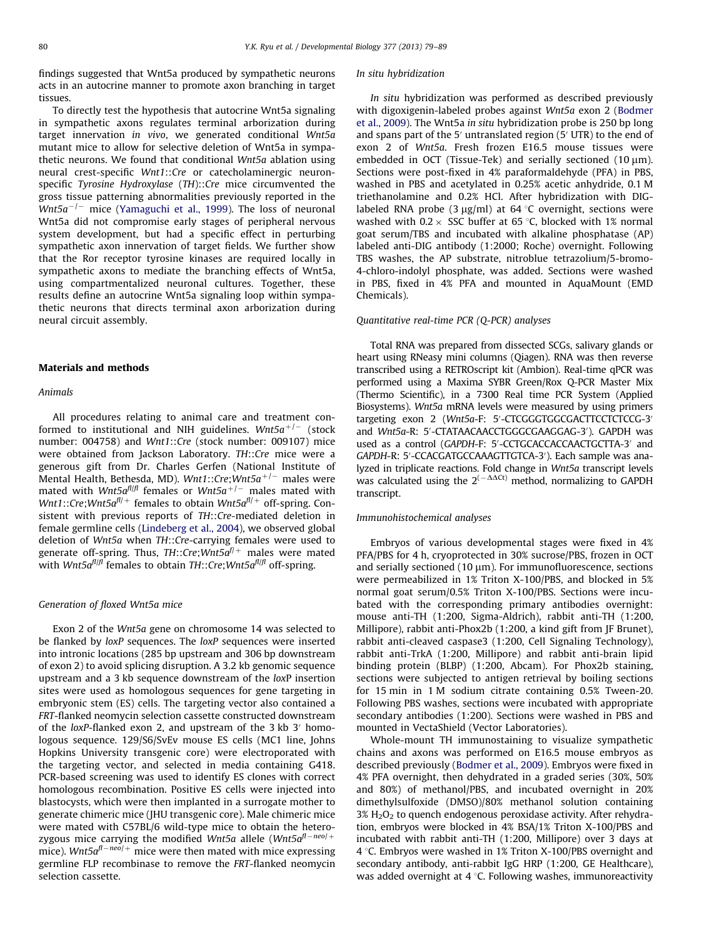findings suggested that Wnt5a produced by sympathetic neurons acts in an autocrine manner to promote axon branching in target tissues.

To directly test the hypothesis that autocrine Wnt5a signaling in sympathetic axons regulates terminal arborization during target innervation in vivo, we generated conditional Wnt5a mutant mice to allow for selective deletion of Wnt5a in sympathetic neurons. We found that conditional Wnt5a ablation using neural crest-specific Wnt1::Cre or catecholaminergic neuronspecific Tyrosine Hydroxylase (TH)::Cre mice circumvented the gross tissue patterning abnormalities previously reported in the Wnt5a<sup>-/-</sup> mice [\(Yamaguchi et al., 1999\)](#page-10-0). The loss of neuronal Wnt5a did not compromise early stages of peripheral nervous system development, but had a specific effect in perturbing sympathetic axon innervation of target fields. We further show that the Ror receptor tyrosine kinases are required locally in sympathetic axons to mediate the branching effects of Wnt5a, using compartmentalized neuronal cultures. Together, these results define an autocrine Wnt5a signaling loop within sympathetic neurons that directs terminal axon arborization during neural circuit assembly.

# Materials and methods

#### Animals

All procedures relating to animal care and treatment conformed to institutional and NIH guidelines. Wnt5 $a^{+/-}$  (stock number: 004758) and Wnt1::Cre (stock number: 009107) mice were obtained from Jackson Laboratory. TH::Cre mice were a generous gift from Dr. Charles Gerfen (National Institute of Mental Health, Bethesda, MD). W $\mathit{mtl}$  ::Cre;W $\mathit{mtl}$ 5a $^{+/-}$  males were mated with W $\textit{nt5a}^{\textit{fl/f}}$  females or W $\textit{nt5a}^{+/-}$  males mated with Wnt1::Cre;Wnt5 $a^{fl/+}$  females to obtain Wnt5 $a^{fl/+}$  off-spring. Consistent with previous reports of TH::Cre-mediated deletion in female germline cells [\(Lindeberg et al., 2004](#page-10-0)), we observed global deletion of Wnt5a when TH::Cre-carrying females were used to generate off-spring. Thus,  $TH::Cre; Wnt5a^{f/+}$  males were mated with Wnt5 $a^{fl/f}$  females to obtain TH::Cre;Wnt5 $a^{fl/f}$  off-spring.

## Generation of floxed Wnt5a mice

Exon 2 of the Wnt5a gene on chromosome 14 was selected to be flanked by loxP sequences. The loxP sequences were inserted into intronic locations (285 bp upstream and 306 bp downstream of exon 2) to avoid splicing disruption. A 3.2 kb genomic sequence upstream and a 3 kb sequence downstream of the loxP insertion sites were used as homologous sequences for gene targeting in embryonic stem (ES) cells. The targeting vector also contained a FRT-flanked neomycin selection cassette constructed downstream of the loxP-flanked exon 2, and upstream of the 3 kb  $3'$  homologous sequence. 129/S6/SvEv mouse ES cells (MC1 line, Johns Hopkins University transgenic core) were electroporated with the targeting vector, and selected in media containing G418. PCR-based screening was used to identify ES clones with correct homologous recombination. Positive ES cells were injected into blastocysts, which were then implanted in a surrogate mother to generate chimeric mice (JHU transgenic core). Male chimeric mice were mated with C57BL/6 wild-type mice to obtain the heterozygous mice carrying the modified Wnt5a allele (Wnt5a $^{fl-neo/+}$ mice). Wnt5 $a^{fl-neo/+}$  mice were then mated with mice expressing germline FLP recombinase to remove the FRT-flanked neomycin selection cassette.

#### In situ hybridization

In situ hybridization was performed as described previously with digoxigenin-labeled probes against Wnt5a exon 2 ([Bodmer](#page-10-0) [et al., 2009\)](#page-10-0). The Wnt5a in situ hybridization probe is 250 bp long and spans part of the  $5'$  untranslated region ( $5'$  UTR) to the end of exon 2 of Wnt5a. Fresh frozen E16.5 mouse tissues were embedded in OCT (Tissue-Tek) and serially sectioned  $(10 \mu m)$ . Sections were post-fixed in 4% paraformaldehyde (PFA) in PBS, washed in PBS and acetylated in 0.25% acetic anhydride, 0.1 M triethanolamine and 0.2% HCl. After hybridization with DIGlabeled RNA probe (3  $\mu$ g/ml) at 64 °C overnight, sections were washed with  $0.2 \times$  SSC buffer at 65 °C, blocked with 1% normal goat serum/TBS and incubated with alkaline phosphatase (AP) labeled anti-DIG antibody (1:2000; Roche) overnight. Following TBS washes, the AP substrate, nitroblue tetrazolium/5-bromo-4-chloro-indolyl phosphate, was added. Sections were washed in PBS, fixed in 4% PFA and mounted in AquaMount (EMD Chemicals).

#### Quantitative real-time PCR (Q-PCR) analyses

Total RNA was prepared from dissected SCGs, salivary glands or heart using RNeasy mini columns (Qiagen). RNA was then reverse transcribed using a RETROscript kit (Ambion). Real-time qPCR was performed using a Maxima SYBR Green/Rox Q-PCR Master Mix (Thermo Scientific), in a 7300 Real time PCR System (Applied Biosystems). Wnt5a mRNA levels were measured by using primers targeting exon 2 (Wnt5a-F: 5'-CTCGGGTGGCGACTTCCTCTCCG-3' and Wnt5a-R: 5'-CTATAACAACCTGGGCGAAGGAG-3'). GAPDH was used as a control (GAPDH-F: 5'-CCTGCACCACCAACTGCTTA-3' and GAPDH-R: 5'-CCACGATGCCAAAGTTGTCA-3'). Each sample was analyzed in triplicate reactions. Fold change in Wnt5a transcript levels was calculated using the  $2^{(-\Delta \Delta Ct)}$  method, normalizing to GAPDH transcript.

## Immunohistochemical analyses

Embryos of various developmental stages were fixed in 4% PFA/PBS for 4 h, cryoprotected in 30% sucrose/PBS, frozen in OCT and serially sectioned  $(10 \mu m)$ . For immunofluorescence, sections were permeabilized in 1% Triton X-100/PBS, and blocked in 5% normal goat serum/0.5% Triton X-100/PBS. Sections were incubated with the corresponding primary antibodies overnight: mouse anti-TH (1:200, Sigma-Aldrich), rabbit anti-TH (1:200, Millipore), rabbit anti-Phox2b (1:200, a kind gift from JF Brunet), rabbit anti-cleaved caspase3 (1:200, Cell Signaling Technology), rabbit anti-TrkA (1:200, Millipore) and rabbit anti-brain lipid binding protein (BLBP) (1:200, Abcam). For Phox2b staining, sections were subjected to antigen retrieval by boiling sections for 15 min in 1 M sodium citrate containing 0.5% Tween-20. Following PBS washes, sections were incubated with appropriate secondary antibodies (1:200). Sections were washed in PBS and mounted in VectaShield (Vector Laboratories).

Whole-mount TH immunostaining to visualize sympathetic chains and axons was performed on E16.5 mouse embryos as described previously [\(Bodmer et al., 2009\)](#page-10-0). Embryos were fixed in 4% PFA overnight, then dehydrated in a graded series (30%, 50% and 80%) of methanol/PBS, and incubated overnight in 20% dimethylsulfoxide (DMSO)/80% methanol solution containing  $3\%$  H<sub>2</sub>O<sub>2</sub> to quench endogenous peroxidase activity. After rehydration, embryos were blocked in 4% BSA/1% Triton X-100/PBS and incubated with rabbit anti-TH (1:200, Millipore) over 3 days at 4  $\degree$ C. Embryos were washed in 1% Triton X-100/PBS overnight and secondary antibody, anti-rabbit IgG HRP (1:200, GE Healthcare), was added overnight at  $4^{\circ}$ C. Following washes, immunoreactivity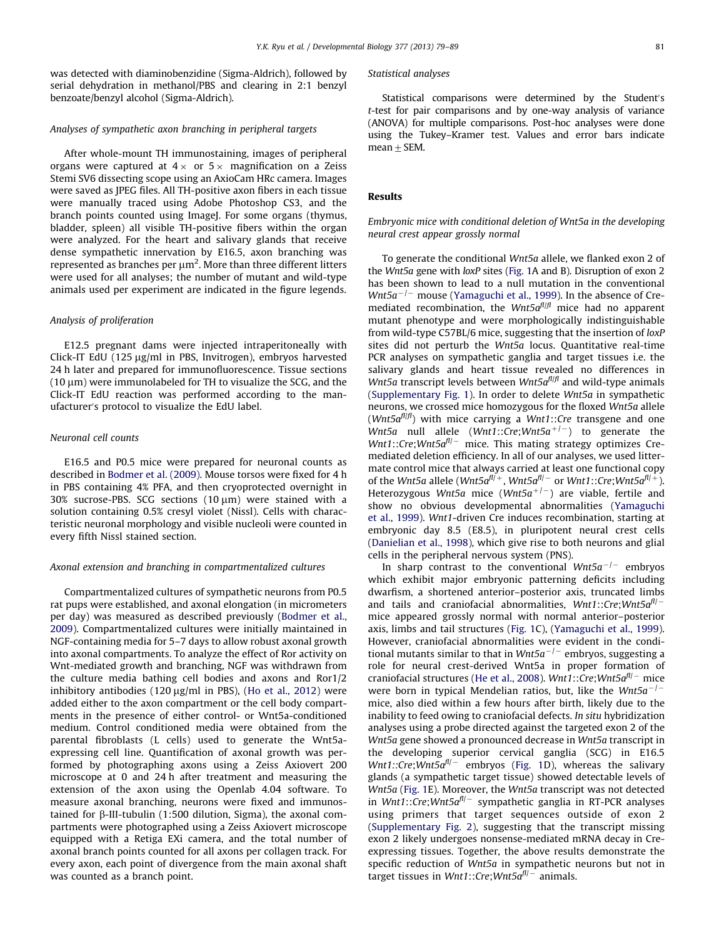was detected with diaminobenzidine (Sigma-Aldrich), followed by serial dehydration in methanol/PBS and clearing in 2:1 benzyl benzoate/benzyl alcohol (Sigma-Aldrich).

# Analyses of sympathetic axon branching in peripheral targets

After whole-mount TH immunostaining, images of peripheral organs were captured at  $4 \times$  or  $5 \times$  magnification on a Zeiss Stemi SV6 dissecting scope using an AxioCam HRc camera. Images were saved as JPEG files. All TH-positive axon fibers in each tissue were manually traced using Adobe Photoshop CS3, and the branch points counted using ImageJ. For some organs (thymus, bladder, spleen) all visible TH-positive fibers within the organ were analyzed. For the heart and salivary glands that receive dense sympathetic innervation by E16.5, axon branching was represented as branches per  $\mu$ m<sup>2</sup>. More than three different litters were used for all analyses; the number of mutant and wild-type animals used per experiment are indicated in the figure legends.

# Analysis of proliferation

E12.5 pregnant dams were injected intraperitoneally with Click-IT EdU (125 µg/ml in PBS, Invitrogen), embryos harvested 24 h later and prepared for immunofluorescence. Tissue sections  $(10 \mu m)$  were immunolabeled for TH to visualize the SCG, and the Click-IT EdU reaction was performed according to the manufacturer's protocol to visualize the EdU label.

# Neuronal cell counts

E16.5 and P0.5 mice were prepared for neuronal counts as described in [Bodmer et al. \(2009\)](#page-10-0). Mouse torsos were fixed for 4 h in PBS containing 4% PFA, and then cryoprotected overnight in 30% sucrose-PBS. SCG sections  $(10 \mu m)$  were stained with a solution containing 0.5% cresyl violet (Nissl). Cells with characteristic neuronal morphology and visible nucleoli were counted in every fifth Nissl stained section.

#### Axonal extension and branching in compartmentalized cultures

Compartmentalized cultures of sympathetic neurons from P0.5 rat pups were established, and axonal elongation (in micrometers per day) was measured as described previously [\(Bodmer et al.,](#page-10-0) [2009\)](#page-10-0). Compartmentalized cultures were initially maintained in NGF-containing media for 5–7 days to allow robust axonal growth into axonal compartments. To analyze the effect of Ror activity on Wnt-mediated growth and branching, NGF was withdrawn from the culture media bathing cell bodies and axons and Ror1/2 inhibitory antibodies (120  $\mu$ g/ml in PBS), ([Ho et al., 2012](#page-10-0)) were added either to the axon compartment or the cell body compartments in the presence of either control- or Wnt5a-conditioned medium. Control conditioned media were obtained from the parental fibroblasts (L cells) used to generate the Wnt5aexpressing cell line. Quantification of axonal growth was performed by photographing axons using a Zeiss Axiovert 200 microscope at 0 and 24 h after treatment and measuring the extension of the axon using the Openlab 4.04 software. To measure axonal branching, neurons were fixed and immunostained for b-III-tubulin (1:500 dilution, Sigma), the axonal compartments were photographed using a Zeiss Axiovert microscope equipped with a Retiga EXi camera, and the total number of axonal branch points counted for all axons per collagen track. For every axon, each point of divergence from the main axonal shaft was counted as a branch point.

#### Statistical analyses

Statistical comparisons were determined by the Student's t-test for pair comparisons and by one-way analysis of variance (ANOVA) for multiple comparisons. Post-hoc analyses were done using the Tukey–Kramer test. Values and error bars indicate mean  $\pm$  SEM.

## Results

# Embryonic mice with conditional deletion of Wnt5a in the developing neural crest appear grossly normal

To generate the conditional Wnt5a allele, we flanked exon 2 of the Wnt5a gene with loxP sites ([Fig. 1](#page-3-0)A and B). Disruption of exon 2 has been shown to lead to a null mutation in the conventional  $Wnt5a^{-1}$  mouse [\(Yamaguchi et al., 1999](#page-10-0)). In the absence of Cremediated recombination, the  $Wnt5a^{fl/f}$  mice had no apparent mutant phenotype and were morphologically indistinguishable from wild-type C57BL/6 mice, suggesting that the insertion of loxP sites did not perturb the Wnt5a locus. Quantitative real-time PCR analyses on sympathetic ganglia and target tissues i.e. the salivary glands and heart tissue revealed no differences in Wnt5a transcript levels between Wnt5 $a<sup>f|f|</sup>$ </sup> and wild-type animals ([Supplementary Fig. 1](#page-10-0)). In order to delete Wnt5a in sympathetic neurons, we crossed mice homozygous for the floxed Wnt5a allele (Wnt5 $a^{fl/f}$ ) with mice carrying a Wnt1::Cre transgene and one Wnt5a null allele (Wnt1::Cre;Wnt5a<sup>+/-</sup>) to generate the  $W$ nt1::Cre;Wnt5 $a^{fl/-}$  mice. This mating strategy optimizes Cremediated deletion efficiency. In all of our analyses, we used littermate control mice that always carried at least one functional copy of the Wnt5a allele (Wnt5a $^{fl/+}$ , Wnt5a $^{fl/-}$  or Wnt1::Cre;Wnt5a $^{fl/+}$ ). Heterozygous Wnt5a mice (Wnt5a<sup>+/-</sup>) are viable, fertile and show no obvious developmental abnormalities [\(Yamaguchi](#page-10-0) [et al., 1999\)](#page-10-0). Wnt1-driven Cre induces recombination, starting at embryonic day 8.5 (E8.5), in pluripotent neural crest cells ([Danielian et al., 1998](#page-10-0)), which give rise to both neurons and glial cells in the peripheral nervous system (PNS).

In sharp contrast to the conventional  $Wnt5a^{-/-}$  embryos which exhibit major embryonic patterning deficits including dwarfism, a shortened anterior–posterior axis, truncated limbs and tails and craniofacial abnormalities,  $Wnt1::Cre;Wnt5a<sup>f|</sup>$ mice appeared grossly normal with normal anterior–posterior axis, limbs and tail structures [\(Fig. 1](#page-3-0)C), [\(Yamaguchi et al., 1999\)](#page-10-0). However, craniofacial abnormalities were evident in the conditional mutants similar to that in  $W$ nt5a<sup>-/-</sup> embryos, suggesting a role for neural crest-derived Wnt5a in proper formation of craniofacial structures [\(He et al., 2008\)](#page-10-0). Wnt1::Cre;Wnt5 $a^{fl/-}$  mice were born in typical Mendelian ratios, but, like the Wnt5 $a^{-/-}$ mice, also died within a few hours after birth, likely due to the inability to feed owing to craniofacial defects. In situ hybridization analyses using a probe directed against the targeted exon 2 of the Wnt5a gene showed a pronounced decrease in Wnt5a transcript in the developing superior cervical ganglia (SCG) in E16.5  $Wnt1::Cre; Wnt5a<sup>fl</sup> – embryos (Fig. 1D), whereas the salivary$  $Wnt1::Cre; Wnt5a<sup>fl</sup> – embryos (Fig. 1D), whereas the salivary$  $Wnt1::Cre; Wnt5a<sup>fl</sup> – embryos (Fig. 1D), whereas the salivary$ glands (a sympathetic target tissue) showed detectable levels of Wnt5a ([Fig. 1](#page-3-0)E). Moreover, the Wnt5a transcript was not detected in Wnt1::Cre;Wnt5a<sup>f1/-</sup> sympathetic ganglia in RT-PCR analyses using primers that target sequences outside of exon 2 ([Supplementary Fig. 2\)](#page-10-0), suggesting that the transcript missing exon 2 likely undergoes nonsense-mediated mRNA decay in Creexpressing tissues. Together, the above results demonstrate the specific reduction of Wnt5a in sympathetic neurons but not in target tissues in Wnt1::Cre;Wnt5a<sup>fl/-</sup> animals.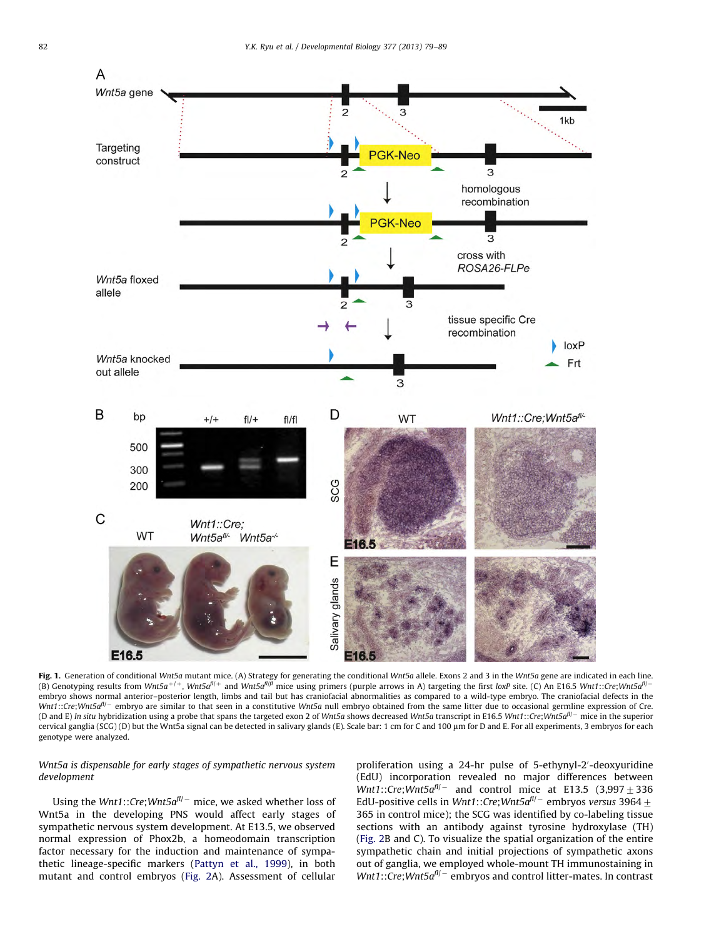<span id="page-3-0"></span>

**Fig. 1.** Generation of conditional Wnt5a mutant mice. (A) Strategy for generating the conditional Wnt5a allele. Exons 2 and 3 in the Wnt5a gene are indicated in each line.<br>(B) Genotyping results from Wnt5a<sup>+/+</sup>, Wnt5a<sup>f//</sup> embryo shows normal anterior–posterior length, limbs and tail but has craniofacial abnormalities as compared to a wild-type embryo. The craniofacial defects in the Wnt1::Cre;Wnt5a<sup>f|/-</sup> embryo are similar to that seen in a constitutive Wnt5a null embryo obtained from the same litter due to occasional germline expression of Cre. (D and E) In situ hybridization using a probe that spans the targeted exon 2 of Wnt5a shows decreased Wnt5a transcript in E16.5 Wnt1::Cre;Wnt5a<sup>fl/-</sup> mice in the superior cervical ganglia (SCG) (D) but the Wnt5a signal can be detected in salivary glands (E). Scale bar: 1 cm for C and 100 µm for D and E. For all experiments, 3 embryos for each genotype were analyzed.

# Wnt5a is dispensable for early stages of sympathetic nervous system development

Using the Wnt1::Cre;Wnt5 $a^{\textit{fl}-}$  mice, we asked whether loss of Wnt5a in the developing PNS would affect early stages of sympathetic nervous system development. At E13.5, we observed normal expression of Phox2b, a homeodomain transcription factor necessary for the induction and maintenance of sympathetic lineage-specific markers ([Pattyn et al., 1999\)](#page-10-0), in both mutant and control embryos ([Fig. 2](#page-4-0)A). Assessment of cellular proliferation using a 24-hr pulse of 5-ethynyl-2'-deoxyuridine (EdU) incorporation revealed no major differences between Wnt1::Cre;Wnt5 $a^{fl/-}$  and control mice at E13.5 (3,997  $\pm$  336 EdU-positive cells in Wnt1::Cre;Wnt5 $a^{fl/-}$  embryos versus 3964  $\pm$ 365 in control mice); the SCG was identified by co-labeling tissue sections with an antibody against tyrosine hydroxylase (TH) ([Fig. 2B](#page-4-0) and C). To visualize the spatial organization of the entire sympathetic chain and initial projections of sympathetic axons out of ganglia, we employed whole-mount TH immunostaining in  $Wnt1::Cre; Wnt5a<sup>f</sup>l<sup>-</sup>$  embryos and control litter-mates. In contrast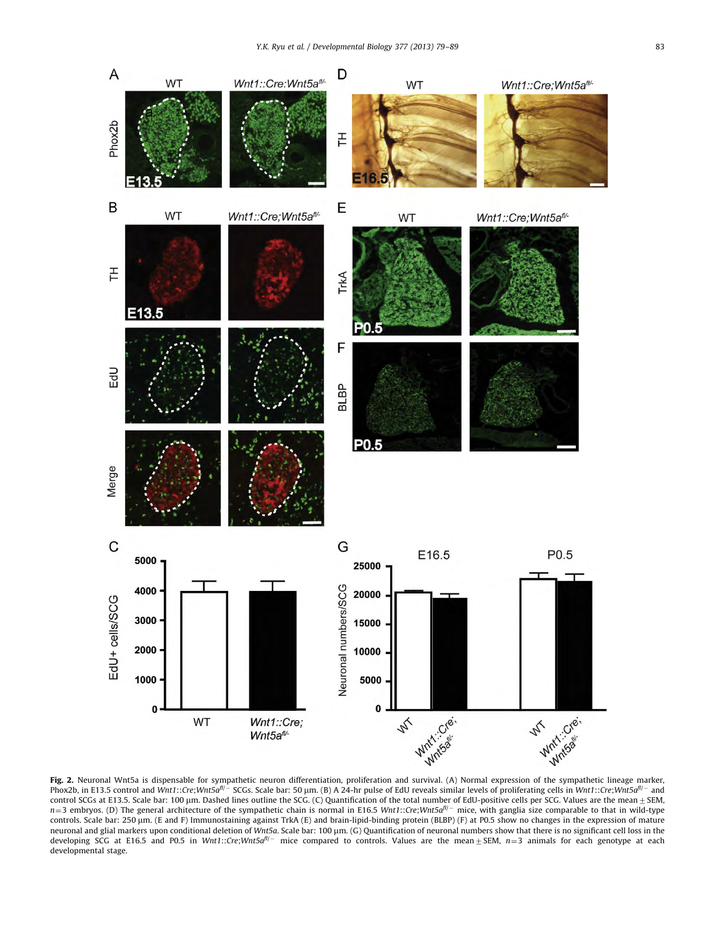<span id="page-4-0"></span>

Phox2b, in E13.5 control and Wnt1::Cre;Wnt5a<sup>fl/–</sup> SCGs. Scale bar: 50 µm. (B) A 24-hr pulse of EdU reveals similar levels of proliferating cells in Wnt1::Cre;Wnt5a<sup>fl/–</sup> and control SCGs at E13.5. Scale bar: 100 μm. Dashed lines outline the SCG. (C) Quantification of the total number of EdU-positive cells per SCG. Values are the mean ± SEM.<br>n=3 embryos. (D) The general architecture of the sym controls. Scale bar: 250 µm. (E and F) Immunostaining against TrkA (E) and brain-lipid-binding protein (BLBP) (F) at P0.5 show no changes in the expression of mature neuronal and glial markers upon conditional deletion of Wnt5a. Scale bar: 100 μm. (G) Quantification of neuronal numbers show that there is no significant cell loss in the developing SCG at E16.5 and P0.5 in Wnt1::Cre;Wnt5a<sup>n/-</sup> mice compared to controls. Values are the mean $\pm$ SEM,  $n=3$  animals for each genotype at each developmental stage.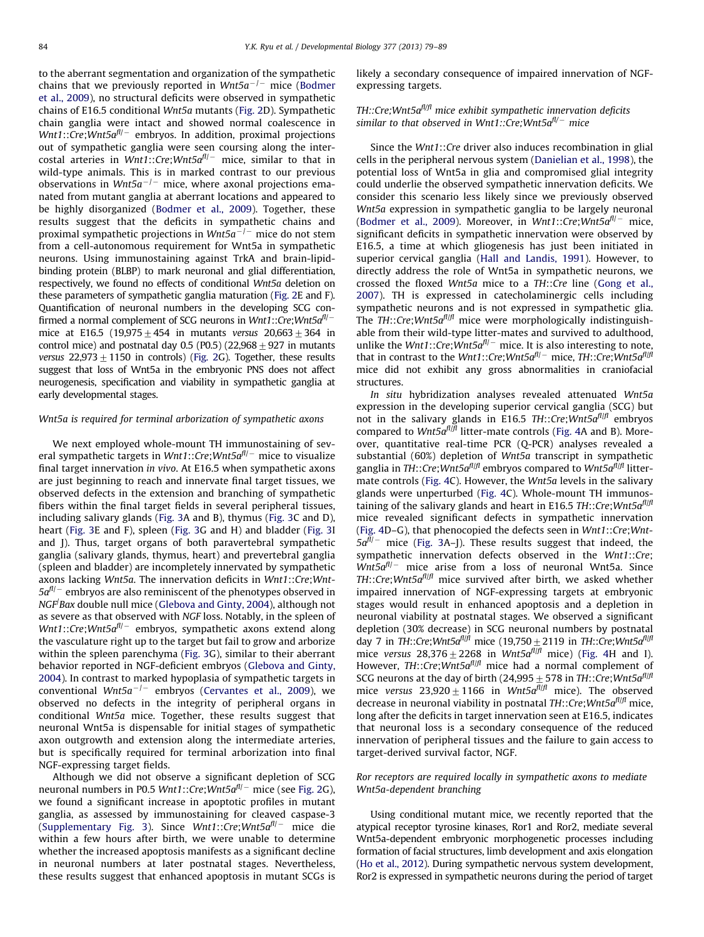to the aberrant segmentation and organization of the sympathetic chains that we previously reported in  ${\it Wnt5a^{-/-}}$  mice ([Bodmer](#page-10-0) [et al., 2009\)](#page-10-0), no structural deficits were observed in sympathetic chains of E16.5 conditional Wnt5a mutants [\(Fig. 2D](#page-4-0)). Sympathetic chain ganglia were intact and showed normal coalescence in Wnt1::Cre;Wnt5a<sup>fl/–</sup> embryos. In addition, proximal projections out of sympathetic ganglia were seen coursing along the intercostal arteries in Wnt1::Cre;Wnt5 $a^{fl/-}$  mice, similar to that in wild-type animals. This is in marked contrast to our previous observations in Wnt5a $^{-/-}$  mice, where axonal projections emanated from mutant ganglia at aberrant locations and appeared to be highly disorganized ([Bodmer et al., 2009](#page-10-0)). Together, these results suggest that the deficits in sympathetic chains and proximal sympathetic projections in W $\mathit{n}$ t5a $^{-/-}$  mice do not stem from a cell-autonomous requirement for Wnt5a in sympathetic neurons. Using immunostaining against TrkA and brain-lipidbinding protein (BLBP) to mark neuronal and glial differentiation, respectively, we found no effects of conditional Wnt5a deletion on these parameters of sympathetic ganglia maturation [\(Fig. 2E](#page-4-0) and F). Quantification of neuronal numbers in the developing SCG confirmed a normal complement of SCG neurons in Wnt1::Cre;Wnt5 $a^{\textit{fl}-}$ mice at E16.5 (19,975 $\pm$ 454 in mutants versus 20,663 $\pm$ 364 in control mice) and postnatal day 0.5 (P0.5) (22,968  $\pm$  927 in mutants versus  $22,973 \pm 1150$  in controls) [\(Fig. 2G](#page-4-0)). Together, these results suggest that loss of Wnt5a in the embryonic PNS does not affect neurogenesis, specification and viability in sympathetic ganglia at early developmental stages.

## Wnt5a is required for terminal arborization of sympathetic axons

We next employed whole-mount TH immunostaining of several sympathetic targets in Wnt1::Cre;Wnt5 $a^{\textit{fl}-}$  mice to visualize final target innervation in vivo. At E16.5 when sympathetic axons are just beginning to reach and innervate final target tissues, we observed defects in the extension and branching of sympathetic fibers within the final target fields in several peripheral tissues, including salivary glands [\(Fig. 3](#page-6-0)A and B), thymus ([Fig. 3](#page-6-0)C and D), heart ([Fig. 3](#page-6-0)E and F), spleen [\(Fig. 3](#page-6-0)G and H) and bladder [\(Fig. 3](#page-6-0)I and J). Thus, target organs of both paravertebral sympathetic ganglia (salivary glands, thymus, heart) and prevertebral ganglia (spleen and bladder) are incompletely innervated by sympathetic axons lacking Wnt5a. The innervation deficits in Wnt1::Cre;Wnt-5 $a^{\textit{fl}-}$  embryos are also reminiscent of the phenotypes observed in NGF/ Bax double null mice [\(Glebova and Ginty, 2004\)](#page-10-0), although not as severe as that observed with NGF loss. Notably, in the spleen of Wnt1::Cre;Wnt5a<sup>fl/–</sup> embryos, sympathetic axons extend along the vasculature right up to the target but fail to grow and arborize within the spleen parenchyma [\(Fig. 3](#page-6-0)G), similar to their aberrant behavior reported in NGF-deficient embryos ([Glebova and Ginty,](#page-10-0) [2004\)](#page-10-0). In contrast to marked hypoplasia of sympathetic targets in conventional W $nt5a^{-/-}$  embryos ([Cervantes et al., 2009](#page-10-0)), we observed no defects in the integrity of peripheral organs in conditional Wnt5a mice. Together, these results suggest that neuronal Wnt5a is dispensable for initial stages of sympathetic axon outgrowth and extension along the intermediate arteries, but is specifically required for terminal arborization into final NGF-expressing target fields.

Although we did not observe a significant depletion of SCG neuronal numbers in P0.5 Wnt1::Cre;Wnt5a<sup>fl/–</sup> mice (see [Fig. 2G](#page-4-0)), we found a significant increase in apoptotic profiles in mutant ganglia, as assessed by immunostaining for cleaved caspase-3 ([Supplementary Fig. 3](#page-10-0)). Since Wnt1::Cre;Wnt5a<sup>fl/–</sup> mice die within a few hours after birth, we were unable to determine whether the increased apoptosis manifests as a significant decline in neuronal numbers at later postnatal stages. Nevertheless, these results suggest that enhanced apoptosis in mutant SCGs is likely a secondary consequence of impaired innervation of NGFexpressing targets.

# $TH::Cre; Wnt5a<sup>f1/f</sup>$  mice exhibit sympathetic innervation deficits similar to that observed in Wnt1::Cre;Wnt5a<sup>fl/–</sup> mice

Since the Wnt1::Cre driver also induces recombination in glial cells in the peripheral nervous system [\(Danielian et al., 1998](#page-10-0)), the potential loss of Wnt5a in glia and compromised glial integrity could underlie the observed sympathetic innervation deficits. We consider this scenario less likely since we previously observed Wnt5a expression in sympathetic ganglia to be largely neuronal ([Bodmer et al., 2009](#page-10-0)). Moreover, in  $Wnt1::Cre; Wnt5a<sup>f1/-</sup>$  mice, significant deficits in sympathetic innervation were observed by E16.5, a time at which gliogenesis has just been initiated in superior cervical ganglia ([Hall and Landis, 1991](#page-10-0)). However, to directly address the role of Wnt5a in sympathetic neurons, we crossed the floxed Wnt5a mice to a TH::Cre line ([Gong et al.,](#page-10-0) [2007\)](#page-10-0). TH is expressed in catecholaminergic cells including sympathetic neurons and is not expressed in sympathetic glia. The  $TH::Cre; Wnt5a<sup>f|f|</sup>$  mice were morphologically indistinguishable from their wild-type litter-mates and survived to adulthood, unlike the Wnt1::Cre; Wnt5 $a^{fl/-}$  mice. It is also interesting to note, that in contrast to the Wnt1::Cre;Wnt5 $a^{fl/-}$  mice, TH::Cre;Wnt5 $a^{fl/f}$ mice did not exhibit any gross abnormalities in craniofacial structures.

In situ hybridization analyses revealed attenuated Wnt5a expression in the developing superior cervical ganglia (SCG) but not in the salivary glands in E16.5 TH::Cre; Wnt5 $a<sup>f|f|</sup>$ </sup> embryos compared to Wnt5 $a^{fl/f}$  litter-mate controls ([Fig. 4A](#page-7-0) and B). Moreover, quantitative real-time PCR (Q-PCR) analyses revealed a substantial (60%) depletion of Wnt5a transcript in sympathetic ganglia in TH::Cre;Wnt5a<sup>fl|fl</sup> embryos compared to Wnt5a<sup>fl|fl</sup> littermate controls [\(Fig. 4C](#page-7-0)). However, the Wnt5a levels in the salivary glands were unperturbed ([Fig. 4](#page-7-0)C). Whole-mount TH immunostaining of the salivary glands and heart in E16.5 TH::Cre; Wnt5 $a<sup>f|f|</sup>$ </sup> mice revealed significant defects in sympathetic innervation ([Fig. 4](#page-7-0)D–G), that phenocopied the defects seen in Wnt1::Cre;Wnt- $5a<sup>f1/-</sup>$  mice [\(Fig. 3A](#page-6-0)–J). These results suggest that indeed, the sympathetic innervation defects observed in the Wnt1::Cre;  $Wnt5a<sup>f|/-</sup>$  mice arise from a loss of neuronal Wnt5a. Since TH::Cre;Wnt5 $a^{fl/f}$  mice survived after birth, we asked whether impaired innervation of NGF-expressing targets at embryonic stages would result in enhanced apoptosis and a depletion in neuronal viability at postnatal stages. We observed a significant depletion (30% decrease) in SCG neuronal numbers by postnatal day 7 in TH::Cre;Wnt5 $a<sup>f|f|</sup>$ </sup> mice (19,750  $\pm$  2119 in TH::Cre;Wnt5 $a<sup>f|f|</sup>$ </sup> mice versus  $28,376 \pm 2268$  in Wnt5 $a<sup>f</sup>$ [*f*] mice) ([Fig. 4](#page-7-0)H and I). However, TH::Cre; Wnt5 $a<sup>f|f|</sup>$ </sup> mice had a normal complement of SCG neurons at the day of birth (24,995  $\pm$  578 in TH::Cre;Wnt5a<sup>fl|fl</sup> mice versus  $23,920 \pm 1166$  in Wnt5 $a^{fl/f}$  mice). The observed decrease in neuronal viability in postnatal  $TH::Cre; Wnt5a<sup>f|f|</sup>$  mice, long after the deficits in target innervation seen at E16.5, indicates that neuronal loss is a secondary consequence of the reduced innervation of peripheral tissues and the failure to gain access to target-derived survival factor, NGF.

# Ror receptors are required locally in sympathetic axons to mediate Wnt5a-dependent branching

Using conditional mutant mice, we recently reported that the atypical receptor tyrosine kinases, Ror1 and Ror2, mediate several Wnt5a-dependent embryonic morphogenetic processes including formation of facial structures, limb development and axis elongation ([Ho et al., 2012\)](#page-10-0). During sympathetic nervous system development, Ror2 is expressed in sympathetic neurons during the period of target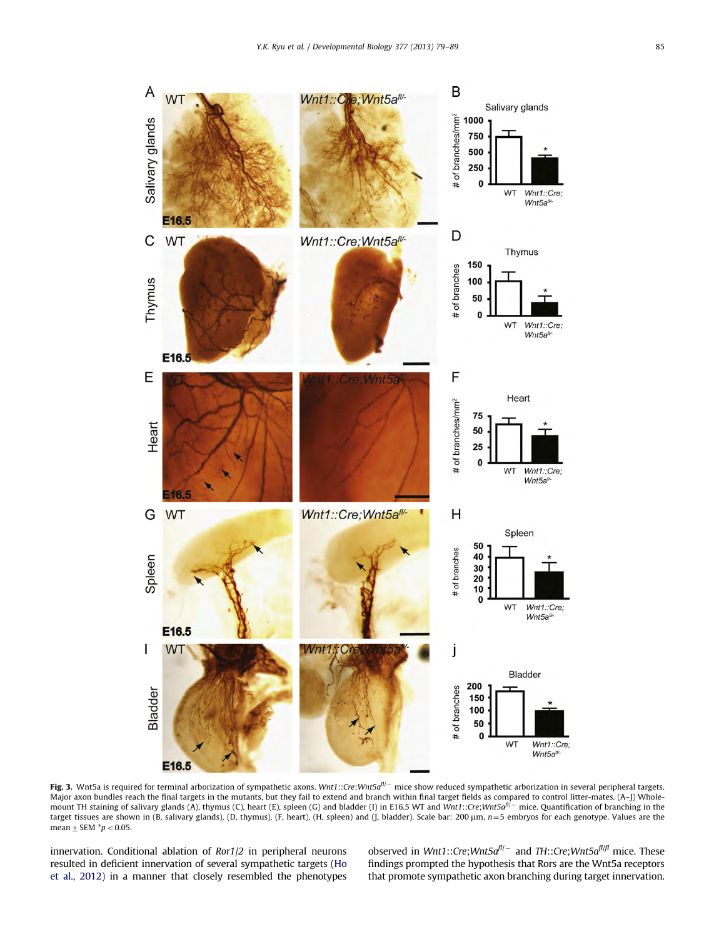<span id="page-6-0"></span>

**Fig. 3.** Wnt5a is required for terminal arborization of sympathetic axons. Wnt1::Cre;Wnt5a $^{fl/-}$  mice show reduced sympathetic arborization in several peripheral targets. Major axon bundles reach the final targets in the mutants, but they fail to extend and branch within final target fields as compared to control litter-mates. (A–J) Whole-<br>mount TH staining of salivary glands (A), thymus (C target tissues are shown in (B, salivary glands), (D, thymus), (F, heart), (H, spleen) and (J, bladder). Scale bar: 200  $\mu$ m,  $n=5$  embryos for each genotype. Values are the mean  $\pm$  SEM  $*p$  < 0.05.

innervation. Conditional ablation of Ror1/2 in peripheral neurons resulted in deficient innervation of several sympathetic targets [\(Ho](#page-10-0) [et al., 2012](#page-10-0)) in a manner that closely resembled the phenotypes

observed in Wnt1::Cre;Wnt5a<sup>fl/–</sup> and TH::Cre;Wnt5a<sup>fl/fl</sup> mice. These findings prompted the hypothesis that Rors are the Wnt5a receptors that promote sympathetic axon branching during target innervation.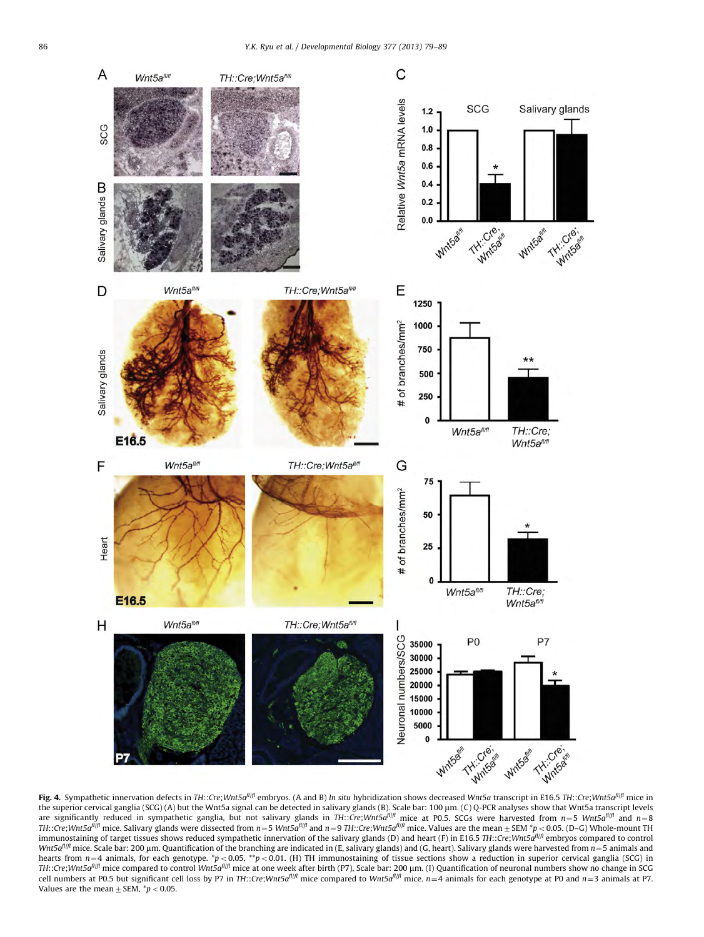<span id="page-7-0"></span>

the superior cervical ganglia (SCG) (A) but the Wnt5a signal can be detected in salivary glands (B). Scale bar: 100 μm. (C) Q-PCR analyses show that Wnt5a transcript levels<br>are significantly reduced in sympathetic ganglia TH::Cre;Wnt5a<sup>fl/f</sup> mice. Salivary glands were dissected from  $n=5$  Wnt5a<sup>fl/f</sup> and  $n=9$  TH::Cre;Wnt5a<sup>fl/f</sup> mice. Values are the mean $\pm$  SEM \*p < 0.05. (D–G) Whole-mount TH immunostaining of target tissues shows reduced sympathetic innervation of the salivary glands (D) and heart (F) in E16.5 TH::Cre;Wnt5a<sup>n|fl</sup> embryos compared to control Wnt5 $a^{fl/f}$  mice. Scale bar: 200 µm. Quantification of the branching are indicated in (E, salivary glands) and (G, heart). Salivary glands were harvested from  $n=5$  animals and hearts from  $n=4$  animals, for each genotype. \*p < 0.05, \*\*p < 0.01. (H) TH immunostaining of tissue sections show a reduction in superior cervical ganglia (SCG) in TH::Cre;Wnt5a<sup>fl|f</sup>l mice compared to control Wnt5a<sup>fl|fl</sup> mice at one week after birth (P7), Scale bar: 200 µm. (1) Quantification of neuronal numbers show no change in SCG cell numbers at P0.5 but significant cell loss by P7 in TH::Cre;Wnt5a<sup>fl|fl</sup> mice compared to Wnt5a<sup>fl|fl</sup> mice.  $n=4$  animals for each genotype at P0 and  $n=3$  animals at P7. Values are the mean  $\pm$  SEM,  $*p < 0.05$ .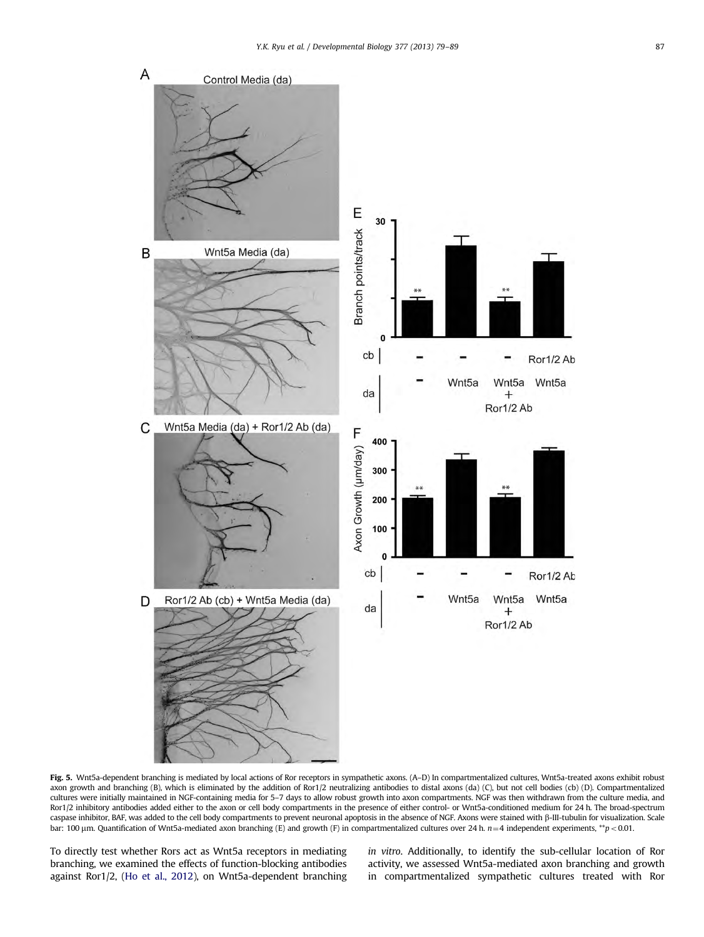<span id="page-8-0"></span>

Fig. 5. Wnt5a-dependent branching is mediated by local actions of Ror receptors in sympathetic axons. (A–D) In compartmentalized cultures, Wnt5a-treated axons exhibit robust axon growth and branching (B), which is eliminated by the addition of Ror1/2 neutralizing antibodies to distal axons (da) (C), but not cell bodies (cb) (D). Compartmentalized cultures were initially maintained in NGF-containing media for 5–7 days to allow robust growth into axon compartments. NGF was then withdrawn from the culture media, and Ror1/2 inhibitory antibodies added either to the axon or cell body compartments in the presence of either control- or Wnt5a-conditioned medium for 24 h. The broad-spectrum caspase inhibitor, BAF, was added to the cell body compartments to prevent neuronal apoptosis in the absence of NGF. Axons were stained with b-III-tubulin for visualization. Scale bar: 100  $\mu$ m. Quantification of Wnt5a-mediated axon branching (E) and growth (F) in compartmentalized cultures over 24 h.  $n=4$  independent experiments, \*\*p < 0.01.

To directly test whether Rors act as Wnt5a receptors in mediating branching, we examined the effects of function-blocking antibodies against Ror1/2, [\(Ho et al., 2012\)](#page-10-0), on Wnt5a-dependent branching in vitro. Additionally, to identify the sub-cellular location of Ror activity, we assessed Wnt5a-mediated axon branching and growth in compartmentalized sympathetic cultures treated with Ror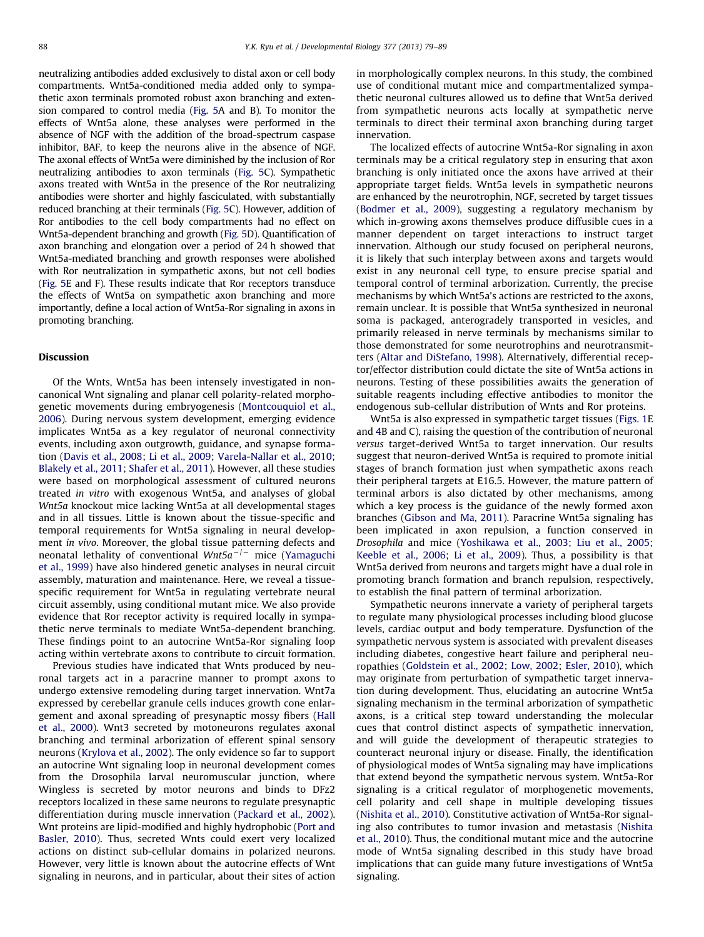neutralizing antibodies added exclusively to distal axon or cell body compartments. Wnt5a-conditioned media added only to sympathetic axon terminals promoted robust axon branching and extension compared to control media ([Fig. 5A](#page-8-0) and B). To monitor the effects of Wnt5a alone, these analyses were performed in the absence of NGF with the addition of the broad-spectrum caspase inhibitor, BAF, to keep the neurons alive in the absence of NGF. The axonal effects of Wnt5a were diminished by the inclusion of Ror neutralizing antibodies to axon terminals ([Fig. 5](#page-8-0)C). Sympathetic axons treated with Wnt5a in the presence of the Ror neutralizing antibodies were shorter and highly fasciculated, with substantially reduced branching at their terminals [\(Fig. 5C](#page-8-0)). However, addition of Ror antibodies to the cell body compartments had no effect on Wnt5a-dependent branching and growth ([Fig. 5](#page-8-0)D). Quantification of axon branching and elongation over a period of 24 h showed that Wnt5a-mediated branching and growth responses were abolished with Ror neutralization in sympathetic axons, but not cell bodies ([Fig. 5E](#page-8-0) and F). These results indicate that Ror receptors transduce the effects of Wnt5a on sympathetic axon branching and more importantly, define a local action of Wnt5a-Ror signaling in axons in promoting branching.

## Discussion

Of the Wnts, Wnt5a has been intensely investigated in noncanonical Wnt signaling and planar cell polarity-related morphogenetic movements during embryogenesis [\(Montcouquiol et al.,](#page-10-0) [2006\)](#page-10-0). During nervous system development, emerging evidence implicates Wnt5a as a key regulator of neuronal connectivity events, including axon outgrowth, guidance, and synapse formation ([Davis et al., 2008;](#page-10-0) [Li et al., 2009;](#page-10-0) [Varela-Nallar et al., 2010;](#page-10-0) [Blakely et al., 2011](#page-10-0); [Shafer et al., 2011](#page-10-0)). However, all these studies were based on morphological assessment of cultured neurons treated in vitro with exogenous Wnt5a, and analyses of global Wnt5a knockout mice lacking Wnt5a at all developmental stages and in all tissues. Little is known about the tissue-specific and temporal requirements for Wnt5a signaling in neural development in vivo. Moreover, the global tissue patterning defects and neonatal lethality of conventional W $nt5a^{-/-}$  mice [\(Yamaguchi](#page-10-0) [et al., 1999](#page-10-0)) have also hindered genetic analyses in neural circuit assembly, maturation and maintenance. Here, we reveal a tissuespecific requirement for Wnt5a in regulating vertebrate neural circuit assembly, using conditional mutant mice. We also provide evidence that Ror receptor activity is required locally in sympathetic nerve terminals to mediate Wnt5a-dependent branching. These findings point to an autocrine Wnt5a-Ror signaling loop acting within vertebrate axons to contribute to circuit formation.

Previous studies have indicated that Wnts produced by neuronal targets act in a paracrine manner to prompt axons to undergo extensive remodeling during target innervation. Wnt7a expressed by cerebellar granule cells induces growth cone enlargement and axonal spreading of presynaptic mossy fibers [\(Hall](#page-10-0) [et al., 2000](#page-10-0)). Wnt3 secreted by motoneurons regulates axonal branching and terminal arborization of efferent spinal sensory neurons [\(Krylova et al., 2002](#page-10-0)). The only evidence so far to support an autocrine Wnt signaling loop in neuronal development comes from the Drosophila larval neuromuscular junction, where Wingless is secreted by motor neurons and binds to DFz2 receptors localized in these same neurons to regulate presynaptic differentiation during muscle innervation [\(Packard et al., 2002\)](#page-10-0). Wnt proteins are lipid-modified and highly hydrophobic ([Port and](#page-10-0) [Basler, 2010\)](#page-10-0). Thus, secreted Wnts could exert very localized actions on distinct sub-cellular domains in polarized neurons. However, very little is known about the autocrine effects of Wnt signaling in neurons, and in particular, about their sites of action in morphologically complex neurons. In this study, the combined use of conditional mutant mice and compartmentalized sympathetic neuronal cultures allowed us to define that Wnt5a derived from sympathetic neurons acts locally at sympathetic nerve terminals to direct their terminal axon branching during target innervation.

The localized effects of autocrine Wnt5a-Ror signaling in axon terminals may be a critical regulatory step in ensuring that axon branching is only initiated once the axons have arrived at their appropriate target fields. Wnt5a levels in sympathetic neurons are enhanced by the neurotrophin, NGF, secreted by target tissues ([Bodmer et al., 2009](#page-10-0)), suggesting a regulatory mechanism by which in-growing axons themselves produce diffusible cues in a manner dependent on target interactions to instruct target innervation. Although our study focused on peripheral neurons, it is likely that such interplay between axons and targets would exist in any neuronal cell type, to ensure precise spatial and temporal control of terminal arborization. Currently, the precise mechanisms by which Wnt5a's actions are restricted to the axons, remain unclear. It is possible that Wnt5a synthesized in neuronal soma is packaged, anterogradely transported in vesicles, and primarily released in nerve terminals by mechanisms similar to those demonstrated for some neurotrophins and neurotransmitters [\(Altar and DiStefano, 1998](#page-10-0)). Alternatively, differential receptor/effector distribution could dictate the site of Wnt5a actions in neurons. Testing of these possibilities awaits the generation of suitable reagents including effective antibodies to monitor the endogenous sub-cellular distribution of Wnts and Ror proteins.

Wnt5a is also expressed in sympathetic target tissues [\(Figs. 1](#page-3-0)E and [4B](#page-7-0) and C), raising the question of the contribution of neuronal versus target-derived Wnt5a to target innervation. Our results suggest that neuron-derived Wnt5a is required to promote initial stages of branch formation just when sympathetic axons reach their peripheral targets at E16.5. However, the mature pattern of terminal arbors is also dictated by other mechanisms, among which a key process is the guidance of the newly formed axon branches [\(Gibson and Ma, 2011\)](#page-10-0). Paracrine Wnt5a signaling has been implicated in axon repulsion, a function conserved in Drosophila and mice ([Yoshikawa et al., 2003;](#page-10-0) [Liu et al., 2005;](#page-10-0) [Keeble et al., 2006](#page-10-0); [Li et al., 2009\)](#page-10-0). Thus, a possibility is that Wnt5a derived from neurons and targets might have a dual role in promoting branch formation and branch repulsion, respectively, to establish the final pattern of terminal arborization.

Sympathetic neurons innervate a variety of peripheral targets to regulate many physiological processes including blood glucose levels, cardiac output and body temperature. Dysfunction of the sympathetic nervous system is associated with prevalent diseases including diabetes, congestive heart failure and peripheral neuropathies ([Goldstein et al., 2002;](#page-10-0) [Low, 2002;](#page-10-0) [Esler, 2010](#page-10-0)), which may originate from perturbation of sympathetic target innervation during development. Thus, elucidating an autocrine Wnt5a signaling mechanism in the terminal arborization of sympathetic axons, is a critical step toward understanding the molecular cues that control distinct aspects of sympathetic innervation, and will guide the development of therapeutic strategies to counteract neuronal injury or disease. Finally, the identification of physiological modes of Wnt5a signaling may have implications that extend beyond the sympathetic nervous system. Wnt5a-Ror signaling is a critical regulator of morphogenetic movements, cell polarity and cell shape in multiple developing tissues ([Nishita et al., 2010](#page-10-0)). Constitutive activation of Wnt5a-Ror signaling also contributes to tumor invasion and metastasis [\(Nishita](#page-10-0) [et al., 2010\)](#page-10-0). Thus, the conditional mutant mice and the autocrine mode of Wnt5a signaling described in this study have broad implications that can guide many future investigations of Wnt5a signaling.